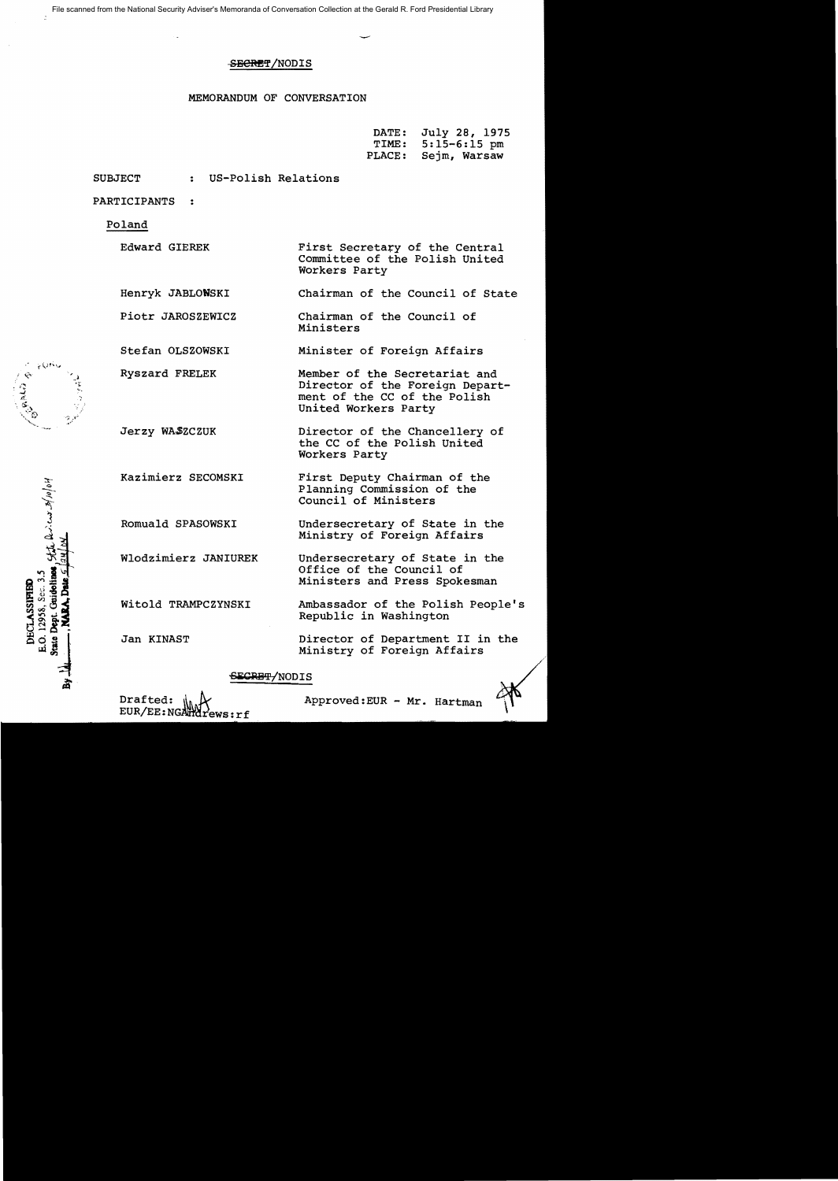File scanned from the National Security Adviser's Memoranda of Conversation Collection at the Gerald R. Ford Presidential Library

# S<del>ECRE</del>T/NODIS

# MEMORANDUM OF CONVERSATION

| DATE:  | July 28, 1975  |
|--------|----------------|
| TIME:  | $5:15-6:15$ pm |
| PLACE: | Sejm, Warsaw   |

SUBJECT : US-Polish Relations

PARTICIPANTS ..

Ryszard FRELEK

Jerzy WASZCZUK

Kazimierz SECOMSKI

Romuald SPASOWSKI

Wlodzimierz JANIUREK

Witold TRAMPCZYNSKI

Jan KINAST

Poland

- Edward GIEREK First Secretary of the Central Committee of the Polish United Workers Party
- Henryk JABLONSKI Chairman of the Council of State
- Piotr JAROSZEWICZ Chairman of the Council of Ministers
- Stefan OLSZOWSKI Minister of Foreign Affairs
	- Member of the Secretariat and Director of the Foreign Department of the CC of the Polish United Workers Party
		- Director of the Chancellery of the CC of the Polish United Workers Party
		- First Deputy Chairman of the Planning Commission of the Council of Ministers
		- Undersecretary of State in the Ministry of Foreign Affairs
		- Undersecretary of State in the Office of the Council of Ministers and Press Spokesman
		- Ambassador of the Polish People's Republic in Washington

Director of Department II in the Ministry of Foreign Affairs

# SECRET/NODIS



Drafted:  $\|_{\mathbb{A}}\mathcal{L}$  Approved:EUR - Mr. Hartman



الماه کو اولا کوهیه می . ز. E.O. 12958, Sec. 3.5 Gridolin DECLASSIFIE Deat. State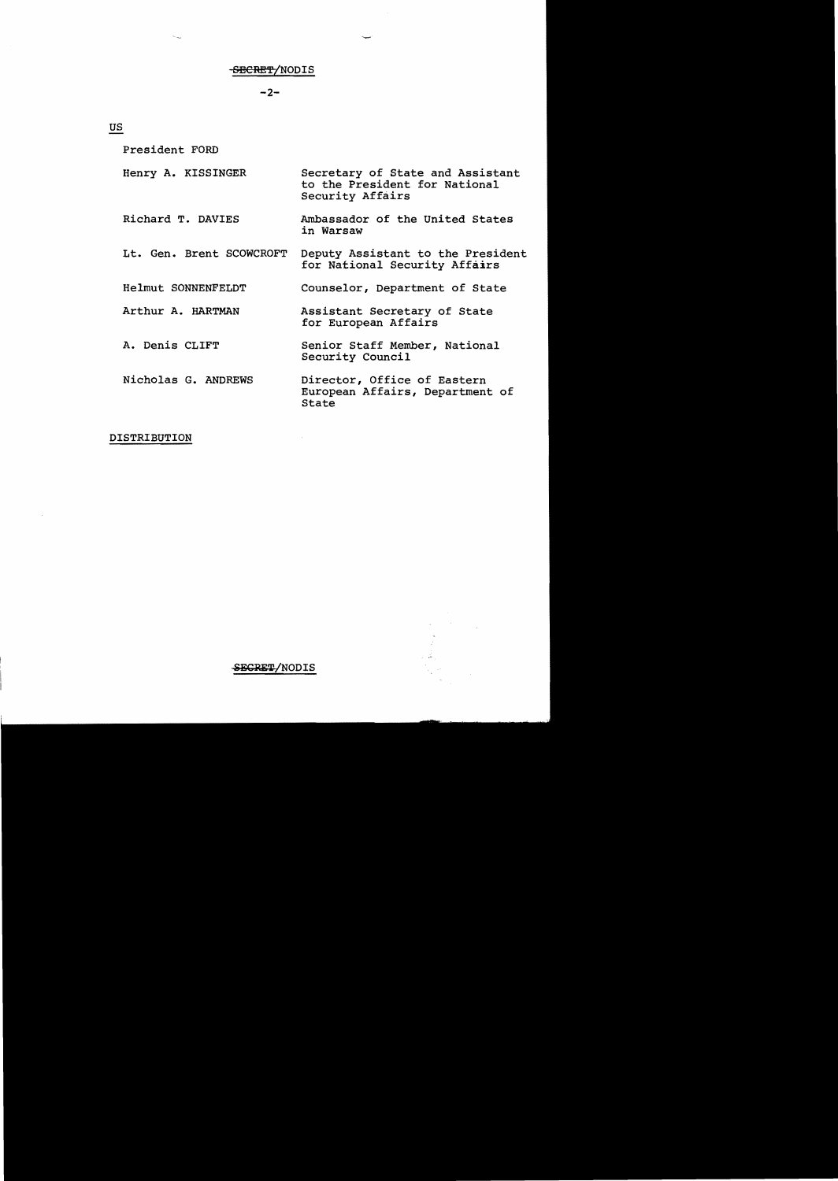## -SBCRET/NODIS

 $-2-$ 

us

President FORD Henry A. KISSINGER Secretary of State and Assistant to the President for National Security Affairs Richard T. DAVIES Ambassador of the United States in Warsaw Lt. Gen. Brent SCOWCROFT Deputy Assistant to the President for National Security Affairs Helmut SONNENFELDT Counselor, Department of State Arthur A. HARTMAN Assistant Secretary of State for European Affairs A. Denis CLIFT Senior Staff Member, National Security Council Nicholas G. ANDREWS Director, Office of Eastern European Affairs, Department of State

DISTRIBUTION

SECRET/NODIS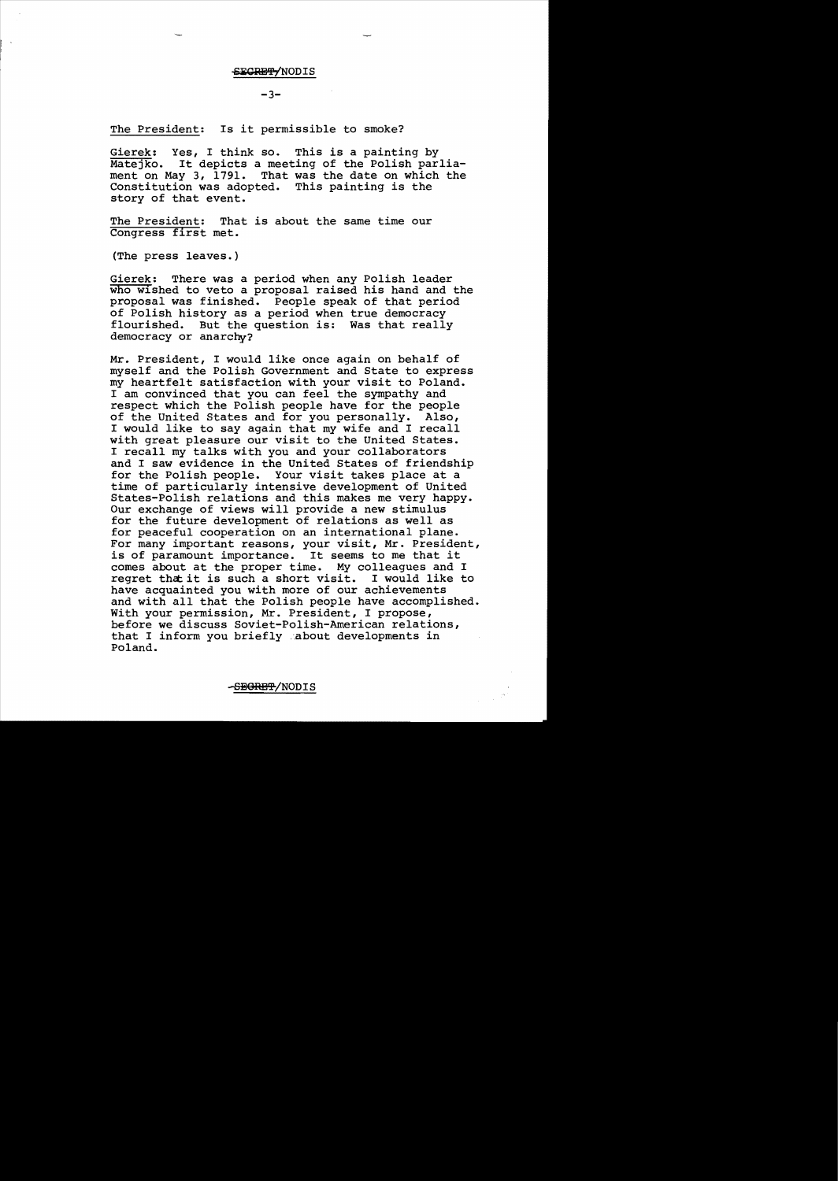#### SECRETYNODIS

#### $-3-$

The President: Is it permissible to smoke?

Gierek: Yes, I think so. This is a painting by Matejko. It depicts a meeting of the Polish parliament on May 3, 1791. That was the date on which the Constitution was adopted. This painting is the story of that event.

The President: That is about the same time our Congress first met.

(The press leaves.)

Gierek: There was a period when any Polish leader who wished to veto a proposal raised his hand and the proposal was finished. People speak of that period of Polish history as a period when true democracy flourished. But the question is: Was that really democracy or anarchy?

Mr. President, I would like once again on behalf of myself and the Polish Government and State to express my heartfelt satisfaction with your visit to Poland. I am convinced that you can feel the sympathy and respect which the Polish people have for the people<br>of the United States and for you personally. Also, of the United States and for you personally. I would like to say again that my wife and I recall with great pleasure our visit to the United States. I recall my talks with you and your collaborators and I saw evidence in the United States of friendship for the Polish people. Your visit takes place at a time of particularly intensive development of United States-Polish relations and this makes me very happy. Our exchange of views will provide a new stimulus for the future development of relations as well as for peaceful cooperation on an international plane. For many important reasons, your visit, Mr. President, for many important reasons, your visit, Mr. Presiden<br>is of paramount importance. It seems to me that it is of paramount importance. It seems to me that it<br>comes about at the proper time. My colleagues and I<br>regret that it is such a short visit. I would like to regret that it is such a short visit. have acquainted you with more of our achievements and with all that the Polish people have accomplished. With your permission, Mr. President, I propose, before we discuss Soviet-Polish-American relations, that I inform you briefly 'about developments in Poland.

-S<del>EGRET</del>/NODIS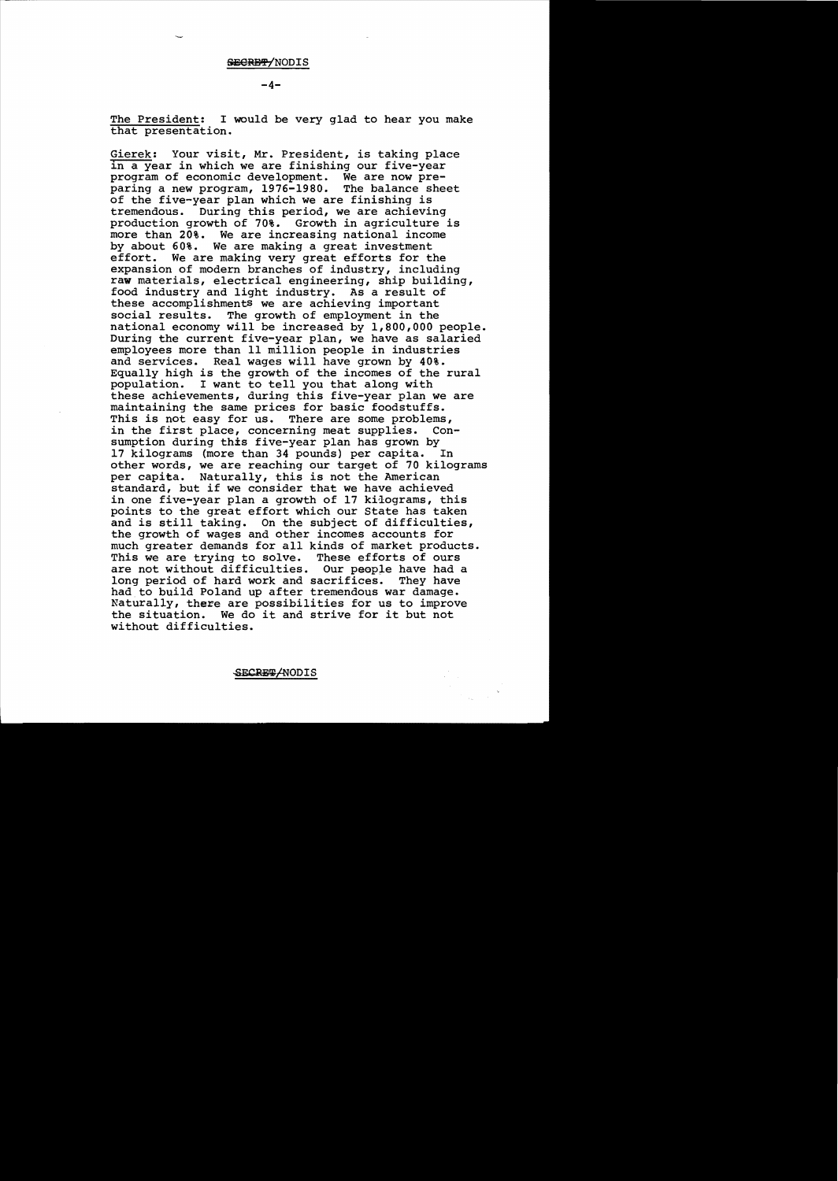## SECRET/NODIS

**-4**

The President: I would be very glad to hear you make that presentation.

Gierek: Your visit, Mr. President, is taking place in a year in which we are finishing our five-year program of economic development. We are now preparing a new program, 1976-1980. The balance sheet of the five-year plan which we are finishing is tremendous. During this period, we are achieving production growth of 70%. Growth in agriculture is more than 20%. We are increasing national income by about 60%. We are making a great investment effort. We are making very great efforts for the expansion of modern branches of industry, including raw materials, electrical engineering, ship building, food industry and light industry. As a result of these accomplishments we are achieving important social results. The growth of employment in the national economy will be increased by 1,800,000 people. During the current five-year plan, we have as salaried employees more than 11 million people in industries and services. Real wages will have grown by 40%. Equally high is the growth of the incomes of the rural population. I want to tell you that along with these achievements, during this five-year plan we are maintaining the same prices for basic foodstuffs. This is not easy for us. There are some problems, in the first place, concerning meat supplies. Consumption during this five-year plan has grown by 17 kilograms (more than 34 pounds) per capita. In other words, we are reaching our target of 70 kilograms per capita. Naturally, this is not the American standard, but if we consider that we have achieved in one five-year plan a growth of 17 kilograms, this points to the great effort which our State has taken and is still taking. On the subject of difficulties, the growth of wages and other incomes accounts for much greater demands for all kinds of market products. This we are trying to solve. These efforts of ours are not without difficulties. Our people have had a long period of hard work and sacrifices. They have had to build Poland up after tremendous war damage. Naturally, there are possibilities for us to improve the situation. We do it and strive for it but not without difficulties.

SECRET ANODIS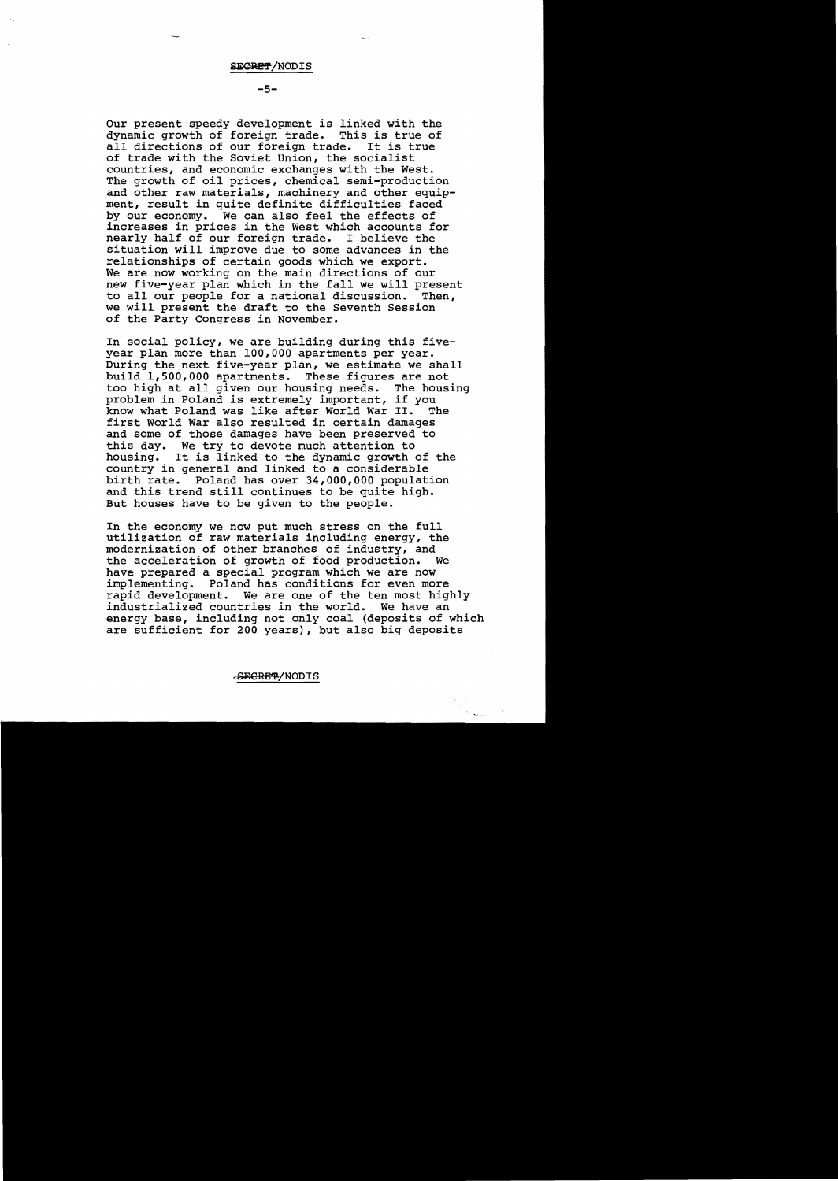$-5-$ 

Our present speedy development is linked with the dynamic growth of foreign trade. This is true of<br>all directions of our foreign trade. It is true all directions of our foreign trade. of trade with the Soviet Union, the socialist countries, and economic exchanges with the West. The growth of oil prices, chemical semi-production and other raw materials, machinery and other equipment, result in quite definite difficulties faced by our economy. We can also feel the effects of increases in prices in the West which accounts for nearly half of our foreign trade. I believe the situation will improve due to some advances in the relationships of certain goods which we export. We are now working on the main directions of our new five-year plan which in the fall we will present<br>to all our people for a national discussion. Then, to all our people for a national discussion. we will present the draft to the Seventh Session of the Party Congress in November.

In social policy, we are building during this fiveyear plan more than 100,000 apartments per year. During the next five-year plan, we estimate we shall build 1,500,000 apartments. These figures are not too high at all given our housing needs. The housing problem in Poland is extremely important, if you know what Poland was like after World War II. first World War also resulted in certain damages and some of those damages have been preserved to this day. We try to devote much attention to housing. It is linked to the dynamic growth of the country in general and linked to a considerable birth rate. Poland has over 34,000,000 population and this trend still continues to be quite high. But houses have to be given to the people.

In the economy we now put much stress on the full utilization of raw materials including energy, the modernization of other branches of industry, and the acceleration of growth of food production. have prepared a special program which we are now implementing. Poland has conditions for even more rapid development. We are one of the ten most highly industrialized countries in the world. We have an energy base, including not only coal (deposits of which are sufficient for 200 years), but also big deposits

SECRET/NODIS

 $\mathcal{O}_{N_{\text{max}}}$ 

 $\sim$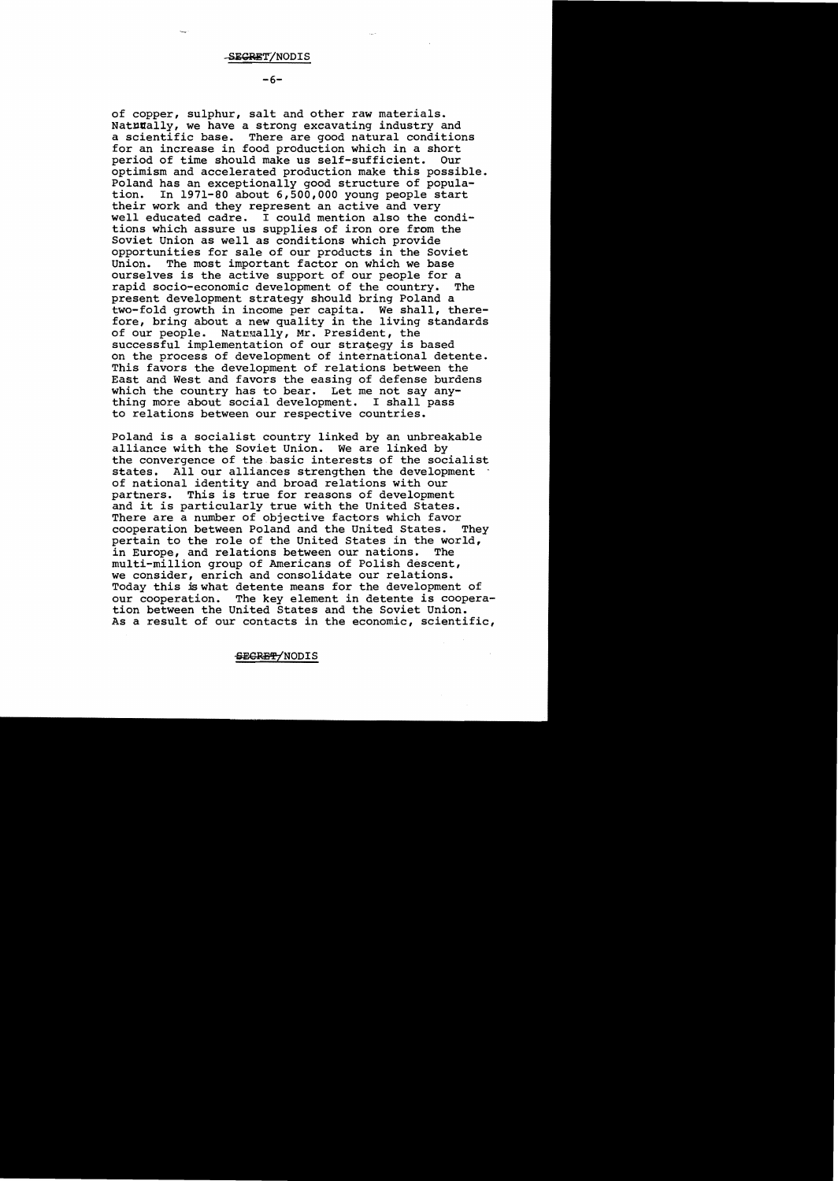$-6-$ 

of copper, sulphur, salt and other raw materials. Natutally, we have a strong excavating industry and<br>a scientific base. There are good natural condition There are good natural conditions for an increase in food production which in a short<br>period of time should make us self-sufficient. Our period of time should make us self-sufficient. optimism and accelerated production make this possible. Poland has an exceptionally good structure of popula-<br>tion. In 1971-80 about 6.500.000 young people start In  $1971-80$  about  $6,500,000$  young people start their work and they represent an active and very well educated cadre. I could mention also the conditions which assure us supplies of iron ore from the Soviet Union as well as conditions which provide opportunities for sale of our products in the Soviet The most important factor on which we base ourselves is the active support of our people for a<br>rapid socio-economic development of the country. The rapid socio-economic development of the country. present development strategy should bring Poland a two-fold growth in income per capita. We shall, therefore, bring about a new quality in the living standards of our people. Natrually, Mr. President, the successful implementation of our strategy is based on the process of development of international detente. This favors the development of relations between the East and West and favors the easing of defense burdens which the country has to bear. Let me not say anything more about social development. I shall pass to relations between our respective countries.

Poland is a socialist country linked by an unbreakable alliance with the Soviet Union. We are linked by the convergence of the basic interests of the socialist states. All our alliances strengthen the development of national identity and broad relations with our partners. This is true for reasons of development and it is particularly true with the United States. There are a number of objective factors which favor<br>cooperation between Poland and the United States. They cooperation between Poland and the United States. pertain to the role of the United States in the world,<br>in Europe, and relations between our nations. The in Europe, and relations between our nations. multi-million group of Americans of Polish descent, we consider, enrich and consolidate our relations. Today this is what detente means for the development of our cooperation. The key element in detente is cooper-The key element in detente is cooperation between the United States and the Soviet Union. As a result of our contacts in the economic, scientific,

# SEGRET/NODIS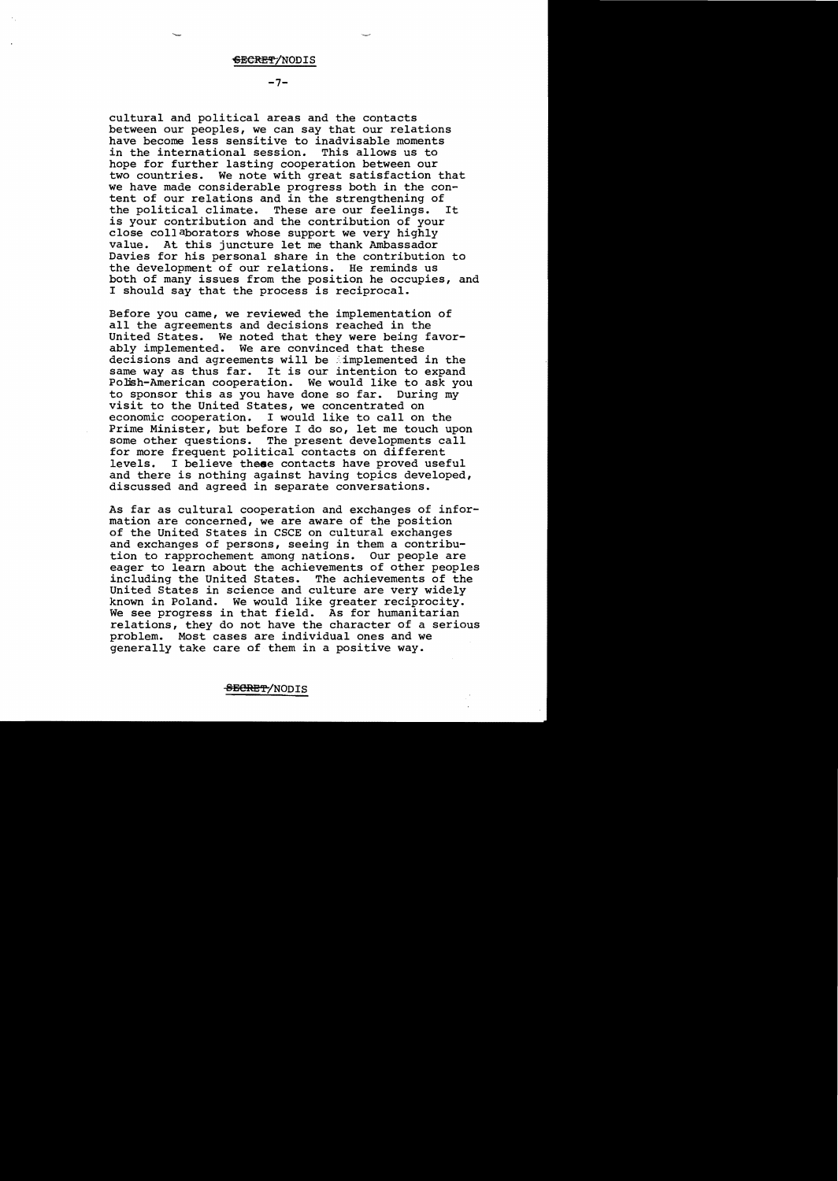$-7-$ 

I should say that the process is reciprocal. cultural and political areas and the contacts between our peoples, we can say that our relations have become less sensitive to inadvisable moments<br>in the international session. This allows us to in the international session. hope for further lasting cooperation between our<br>two countries. We note with great satisfaction We note with great satisfaction that we have made considerable progress both in the content of our relations and in the strengthening of<br>the political climate. These are our feelings. It the political climate. These are our feelings. is your contribution and the contribution of your close collaborators whose support we very highly value. At this juncture let me thank Ambassador Davies for his personal share in the contribution to the development of our relations. He reminds us both of many issues from the position he occupies, and

Before you came, we reviewed the implementation of all the agreements and decisions reached in the United States. We noted that they were being favorably implemented. We are convinced that these decisions and agreements will be implemented in the same way as thus far. It is our intention to expand Polish-American cooperation. We would like to ask you to sponsor this as you have done so far. During my visit to the United States, we concentrated on economic cooperation. I would like to calIon the Prime Minister, but before I do so, let me touch upon some other questions. The present developments call for more frequent political contacts on different levels. I believe these contacts have proved useful and there is nothing against having topics developed, discussed and agreed in separate conversations.

As far as cultural cooperation and exchanges of information are concerned, we are aware of the position of the United States in CSCE on cultural exchanges and exchanges of persons, seeing in them a contribution to rapprochement among nations. Our people are eager to learn about the achievements of other peoples including the United States. The achievements of the United States in science and culture are very widely known in Poland. We would like greater reciprocity. We see progress in that field. As for humanitarian relations, they do not have the character of a serious problem. Most cases are individual ones and we generally take care of them in a positive way.

## <del>SECRET</del>/NODIS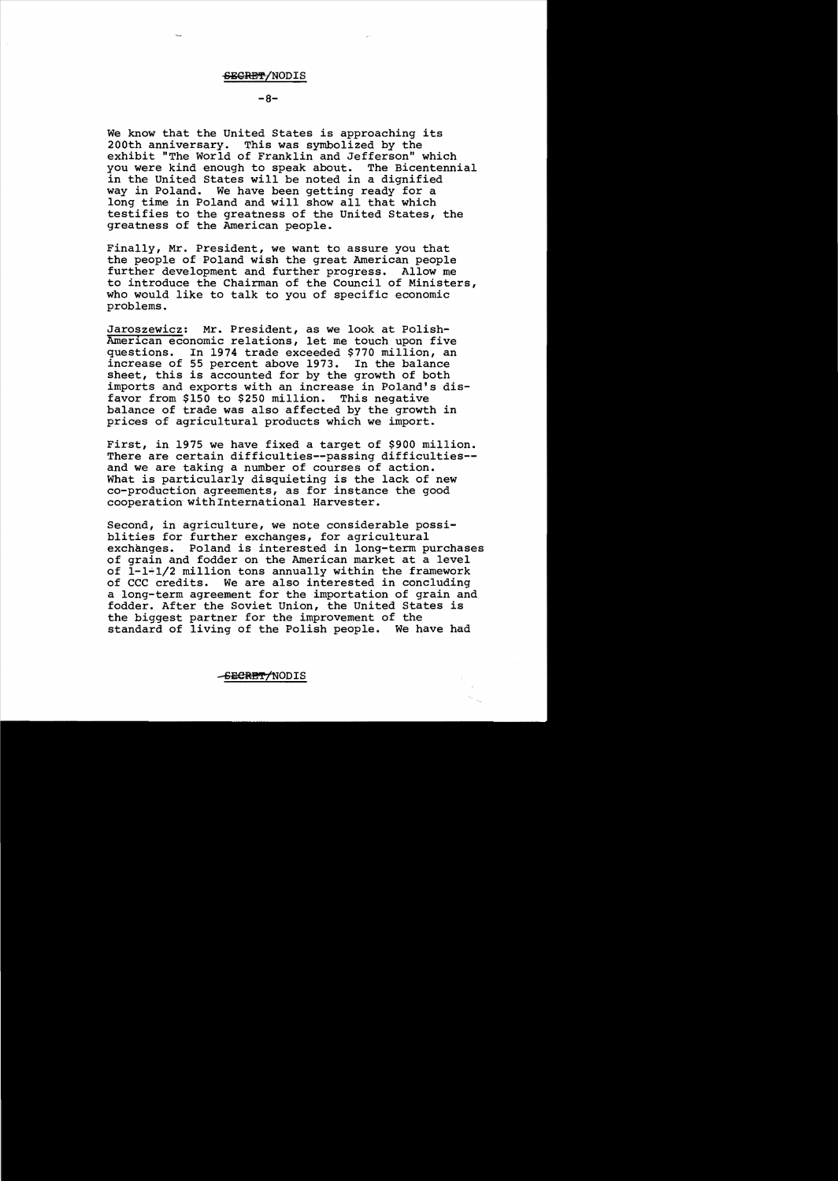## -&EGRM/NODIS

## $-8-$

We know that the united States is approaching its 200th anniversary. This was symbolized by the exhibit "The World of Franklin and Jefferson" which you were kind enough to speak about. The Bicentennial in the United States will be noted in a dignified way in Poland. We have been getting ready for a long time in Poland and will show all that which testifies to the greatness of the United States, the greatness of the American people.

Finally, Mr. President, we want to assure you that the people of Poland wish the great American people further development and further progress. Allow me to introduce the Chairman of the Council of Ministers, who would like to talk to you of specific economic problems.

Jaroszewicz: Mr. President, as we look at Polish-American economic relations, let me touch upon five questions. In 1974 trade exceeded \$770 million, an increase of 55 percent above 1973. In the balance sheet, this is accounted for by the growth of both imports and exports with an increase in Poland's disfavor from \$150 to \$250 million. This negative balance of trade was also affected by the growth in prices of agricultural products which we import.

First, in 1975 we have fixed a target of \$900 million. There are certain difficulties--passing difficulties and we are taking a number of courses of action. What is particularly disquieting is the lack of new co-production agreements, as for instance the good cooperation with International Harvester.

Second, in agriculture, we note considerable possiblities for further exchanges, for agricultural<br>exchanges. Poland is interested in long-term po Poland is interested in long-term purchases of grain and fodder on the American market at a level of 1-1~1/2 million tons annually within the framework of CCC credits. We are also interested in concluding a long-term agreement for the importation of grain and fodder. After the Soviet Union, the United States is the biggest partner for the improvement of the standard of living of the Polish people. We have had

#### -<del>SECRET/</del>NODIS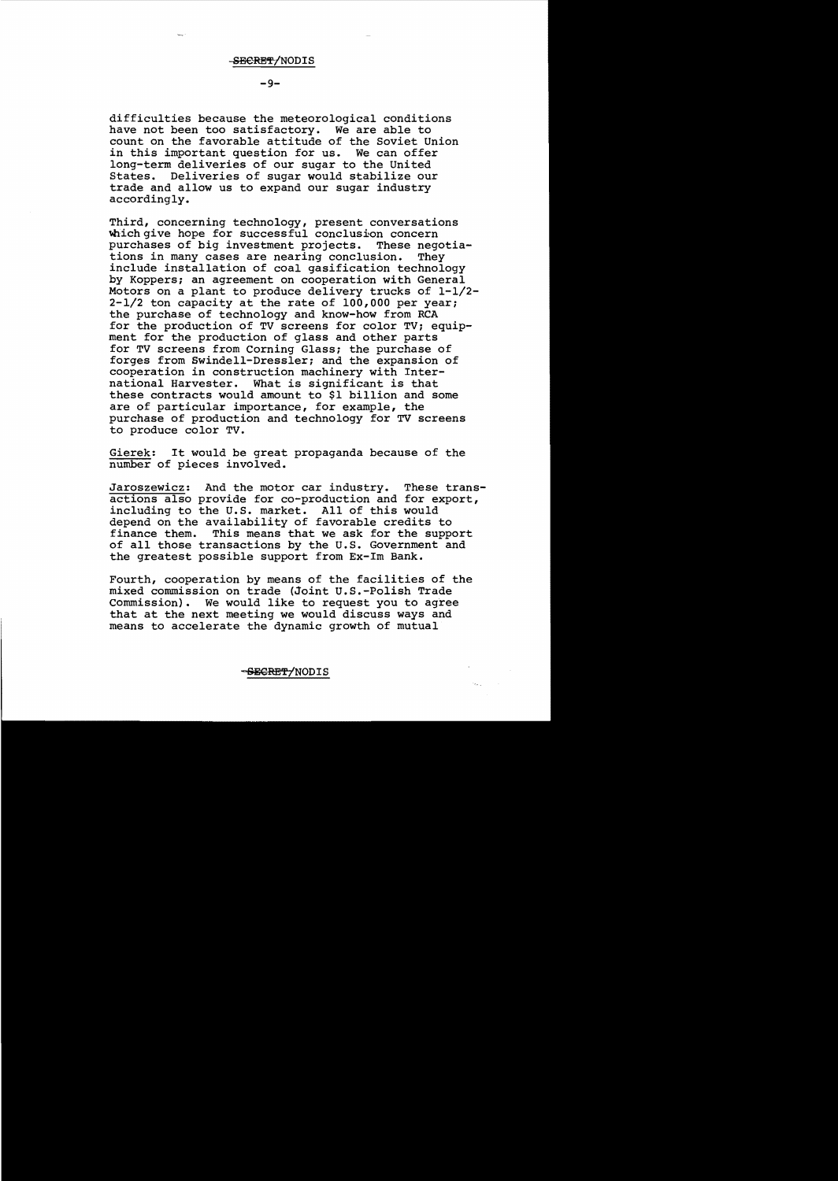**-9**

difficulties because the meteorological conditions have not been too satisfactory. We are able to count on the favorable attitude of the Soviet Union in this important question for us. We can offer long-term deliveries of our sugar to the United<br>States. Deliveries of sugar would stabilize our Deliveries of sugar would stabilize our trade and allow us to expand our sugar industry accordingly.

Third, concerning technology, present conversations which give hope for successful conclusion concern<br>purchases of big investment projects. These negotiapurchases of big investment projects. These negotions in many cases are nearing conclusion. They tions in many cases are nearing conclusion. include installation of coal gasification technology by Koppers; an agreement on cooperation with General Motors on a plant to produce delivery trucks of 1-1/2 2-1/2 ton capacity at the rate of 100,000 per year; the purchase of technology and know-how from RCA for the production of TV screens for color TV; equipment for the production of glass and other parts for TV screens from Corning Glass; the purchase of forges from Swindell-Dressler; and the expansion of cooperation in construction machinery with International Harvester. What is significant is that these contracts would amount to \$1 billion and some are of particular importance, for example, the purchase of production and technology for TV screens to produce color TV.

Gierek: It would be great propaganda because of the number of pieces involved.

Jaroszewicz: And the motor car industry. These transactions also provide for co-production and for export, including to the U.S. market. All of this would depend on the availability of favorable credits to<br>finance them. This means that we ask for the suppe This means that we ask for the support of all those transactions by the U.S. Government and the greatest possible support from Ex-1m Bank.

Fourth, cooperation by means of the facilities of the mixed commission on trade (Joint U.S.-Polish Trade Commission). We would like to request you to agree that at the next meeting we would discuss ways and means to accelerate the dynamic growth of mutual

<del>SECRET/</del>NODIS

 $\tilde{Q}_{\rm max}$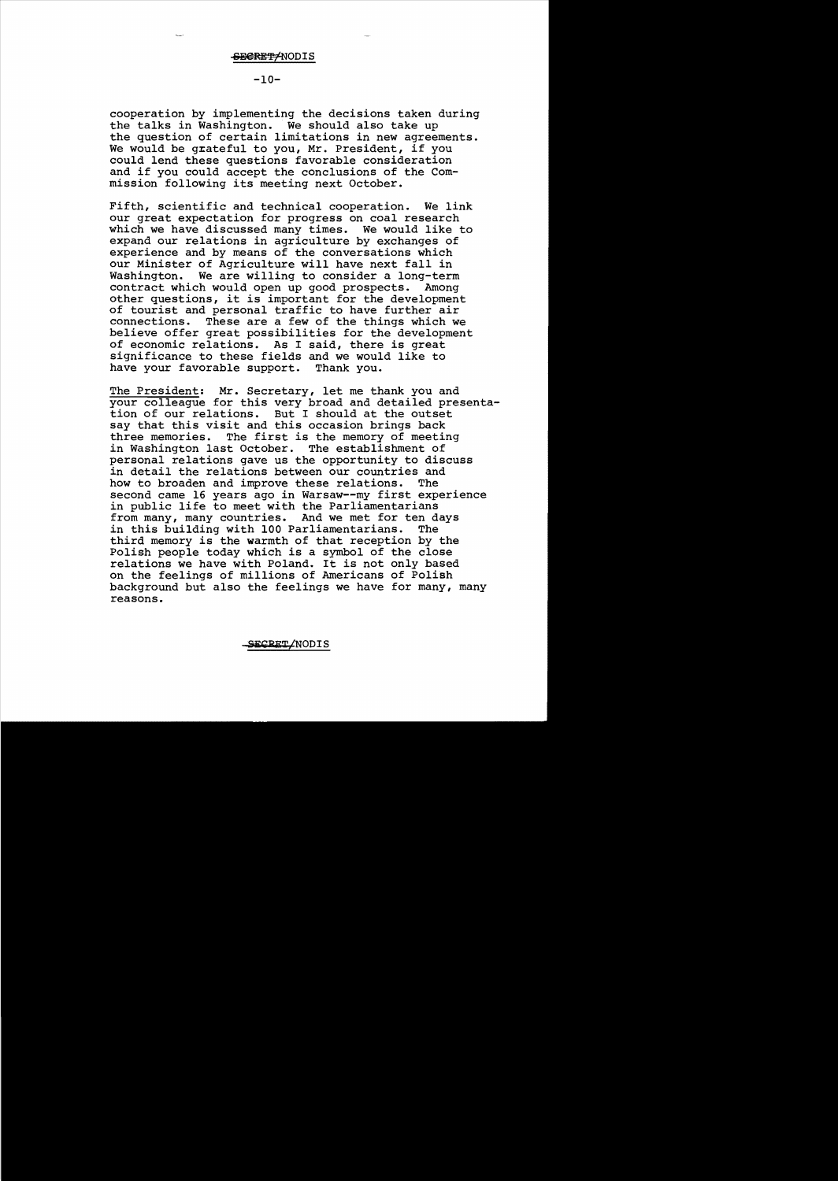**-10**

cooperation by implementing the decisions taken during the talks in Washington. We should also take up the question of certain limitations in new agreements. We would be grateful to you, Mr. President, if you could lend these questions favorable consideration and if you could accept the conclusions of the Commission following its meeting next October.

Fifth, scientific and technical cooperation. We link our great expectation for progress on coal research which we have discussed many times. We would like to expand our relations in agriculture by exchanges of experience and by means of the conversations which our Minister of Agriculture will have next fall in Washington. We are willing to consider a long-term contract which would open up good prospects. Among other questions, it is important for the development of tourist and personal traffic to have further air<br>connections. These are a few of the things which we These are a few of the things which we believe offer great possibilities for the development of economic relations. As I said, there is great significance to these fields and we would like to have your favorable support. Thank you.

The President: Mr. Secretary, let me thank you and your colleague for this very broad and detailed presentation of our relations. But I should at the outset say that this visit and this occasion brings back The first is the memory of meeting in Washington last October. The establishment of personal relations gave us the opportunity to discuss in detail the relations between our countries and how to broaden and improve these relations. The how to broaden and improve these relations. second came 16 years ago in Warsaw--my first experience in public life to meet with the Parliamentarians from many, many countries. And we met for ten days in this building with 100 Parliamentarians. The third memory is the warmth of that reception by the Polish people today which is a symbol of the close relations we have with Poland. It is not only based on the feelings of millions of Americans of Polish background but also the feelings we have for many, many reasons.

SECRET/NODIS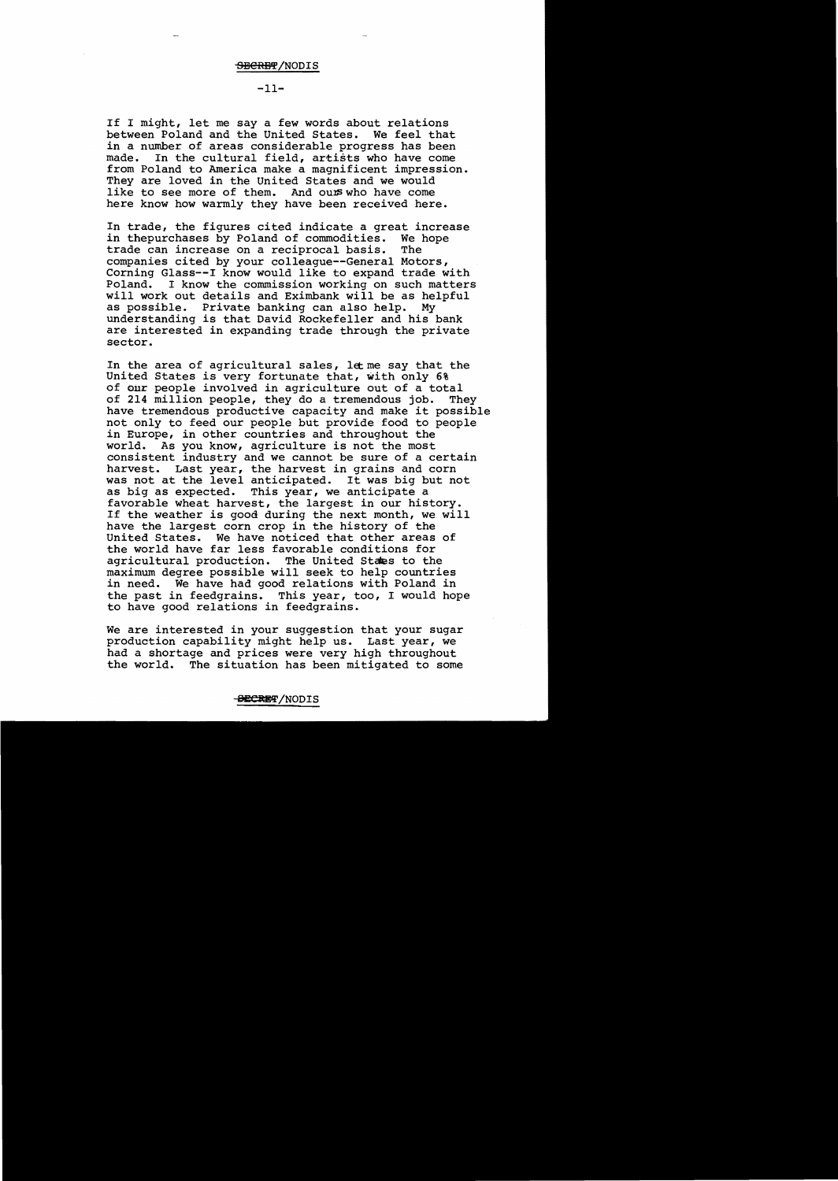# $-11-$

If I might, let me say a few words about relations<br>between Poland and the United States. We feel that between Poland and the United States. in a number of areas considerable progress has been made. In the cultural field, artists who have come from Poland to America make a magnificent impression. They are loved in the united States and we would like to see more of them. And ours who have come here know how warmly they have been received here.

In trade, the figures cited indicate a great increase in thepurchases by Poland of commodities. We hope<br>trade can increase on a reciprocal basis. The trade can increase on a reciprocal basis. companies cited by your colleague--General Motors, Corning Glass--I know would like to expand trade with Poland. I know the commission working on such matters will work out details and Eximbank will be as helpful<br>as possible. Private banking can also help. My as possible. Private banking can also help. understanding is that David Rockefeller and his bank are interested in expanding trade through the private sector.

In the area of agricultural sales, let me say that the United States is very fortunate that, with only 6% of our people involved in agriculture out of a total of 214 million people, they do a tremendous job. They have tremendous productive capacity and make it possible not only to feed our people but provide food to people in Europe, in other countries and throughout the world. As you know, agriculture is not the most consistent industry and we cannot be sure of a certain harvest. Last year, the harvest in grains and corn was not at the level anticipated. It was big but not as big as expected. This year, we anticipate a favorable wheat harvest, the largest in our history. If the weather is good during the next month, we will have the largest corn crop in the history of the United States. We have noticed that other areas of the world have far less favorable conditions for agricultural production. The United Staes to the maximum degree possible will seek to help countries in need. We have had good relations with Poland in the past in feedgrains. This year, too, I would hope to have good relations in feedgrains.

We are interested in your suggestion that your sugar production capability might help us. Last year, we had a shortage and prices were very high throughout the world. The situation has been mitigated to some

<del>SECRE</del>T/NODIS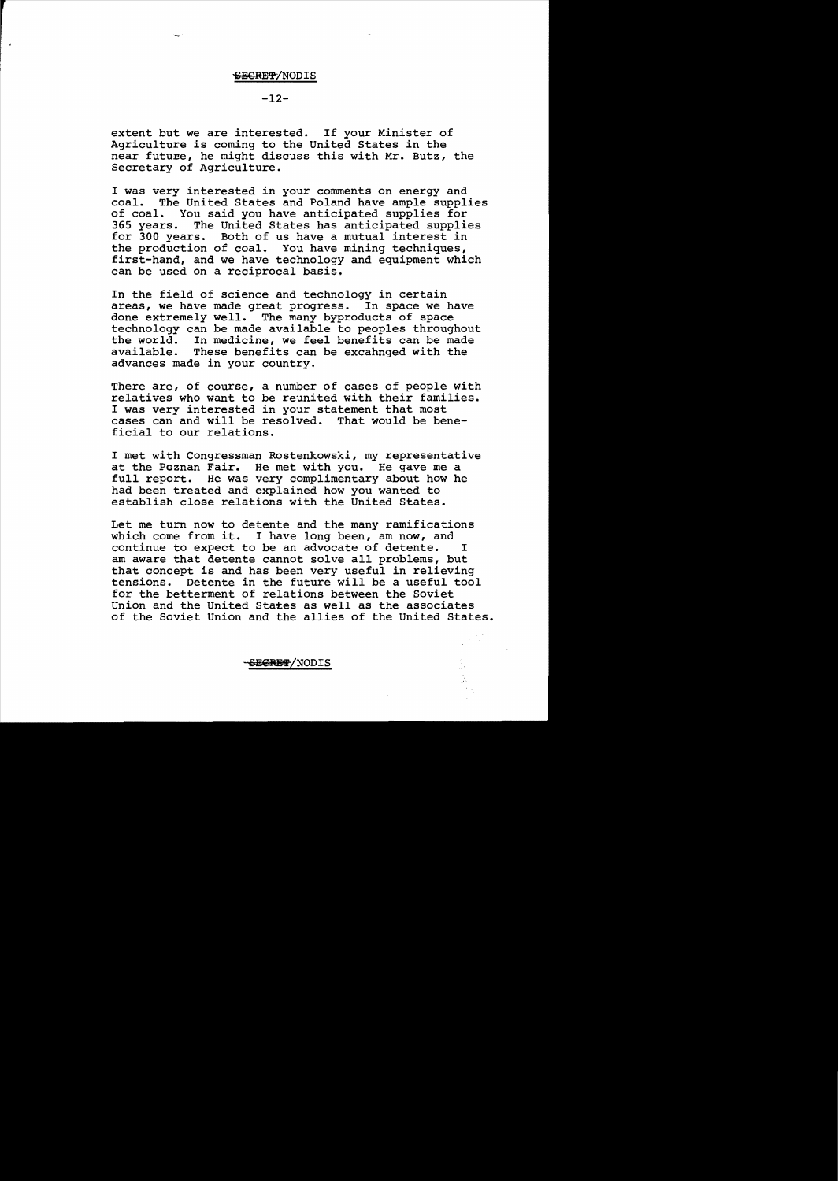# **-12**

extent but we are interested. If your Minister of Agriculture *is* coming to the united States in the near future, he might discuss this with Mr. Butz, the Secretary of Agriculture.

I was very interested in your comments on energy and coal. The United States and Poland have ample supplies of coal. You said you have anticipated supplies for 365 years. The United States has anticipated supplies for 300 years. Both of us have a mutual interest in the production of coal. You have mining techniques, first-hand, and we have technology and equipment which can be used on a reciprocal basis.

In the field of science and technology in certain areas, we have made great progress. In space we have done extremely well. The many byproducts of space technology can be made available to peoples throughout the world. In medicine, we feel benefits can be made available. These benefits can be excahnged with the These benefits can be excahnged with the advances made in your country.

There are, of course, a number of cases of people with relatives who want to be reunited with their families. I was very interested in your statement that most cases can and will be resolved. That would be beneficial to our relations.

I met with Congressman Rostenkowski, my representative at the Poznan Fair. He met with you. He gave me a full report. He was very complimentary about how he had been treated and explained how you wanted to establish close relations with the United States.

Let me turn now to detente and the many ramifications which come from *it.* I have long been, am now, and continue to expect to be an advocate of detente. I am aware that detente cannot solve all problems, but that concept *is* and has been very useful in relieving tensions. Detente in the future will be a useful tool for the betterment of relations between the Soviet Union and the United States as well as the associates of the Soviet Union and the allies of the United States.

 $\frac{1}{2}$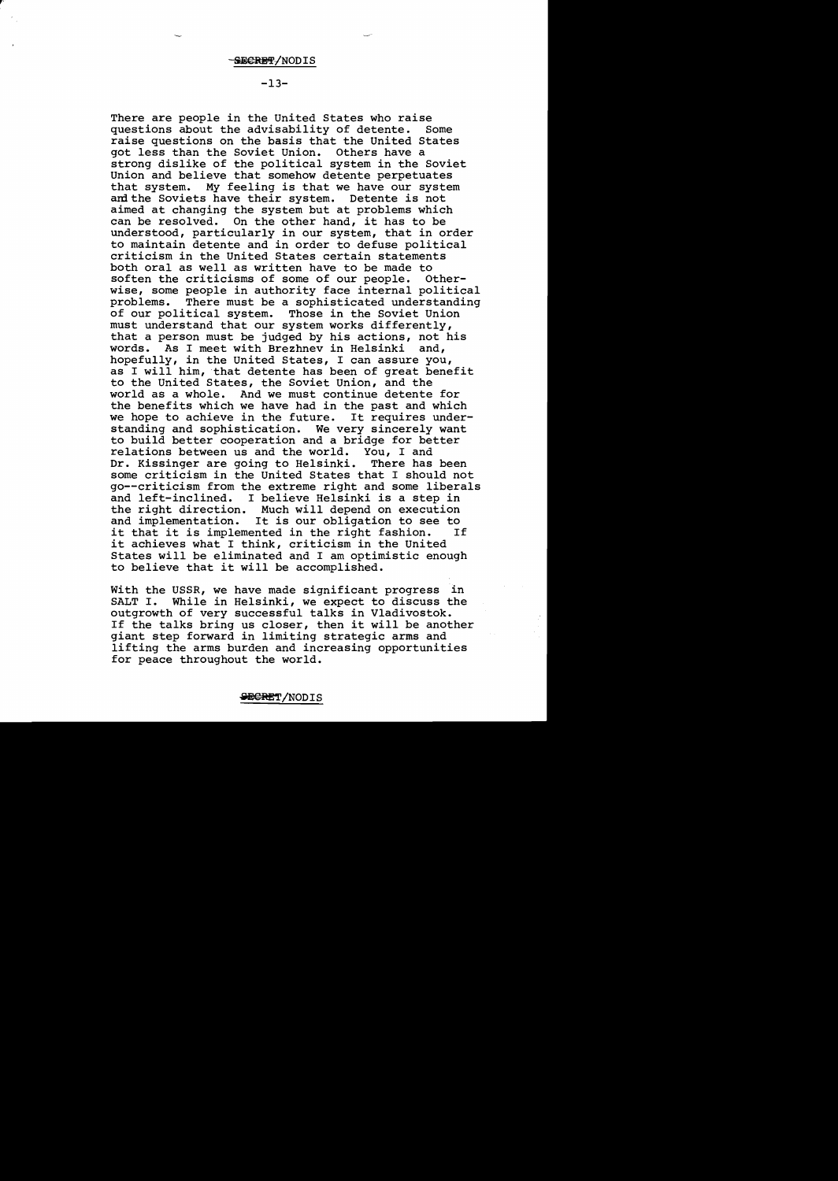# $-13-$

There are people in the United States who raise<br>questions about the advisability of detente. Some questions about the advisability of detente. raise questions on the basis that the United States got less than the Soviet Union. Others have a strong dislike of the political system in the Soviet Union and believe that somehow detente perpetuates that system. My feeling is that we have our system amthe Soviets have their system. Detente is not aimed at changing the system but at problems which can be resolved. On the other hand, it has to be understood, particularly in our system, that in order to maintain detente and in order to defuse political criticism in the United States certain statements both oral as well as written have to be made to<br>soften the criticisms of some of our people. Othersoften the criticisms of some of our people. wise, some people in authority face internal political<br>problems. There must be a sophisticated understanding There must be a sophisticated understanding of our political system. Those in the Soviet Union must understand that our system works differently, that a person must be judged by his actions, not his words. As I meet with Brezhnev in Helsinki and, hopefully, in the United States, I can assure you, as I will him, that detente has been of great benefit to the United States, the Soviet Union, and the world as a whole. And we must continue detente for the benefits which we have had in the past and which<br>we hope to achieve in the future. It requires underwe hope to achieve in the future. standing and sophistication. We very sincerely want to build better cooperation and a bridge for better relations between us and the world. You, I and Dr. Kissinger are going to Helsinki. There has been some criticism in the United States that I should not go--criticism from the extreme right and some liberals and left-inclined. I believe Helsinki is a step in the right direction. Much will depend on execution and implementation. It is our obligation to see to it that it is implemented in the right fashion. it achieves what I think, criticism in the United States will be eliminated and I am optimistic enough to believe that it will be accomplished.

With the USSR, we have made significant progress in While in Helsinki, we expect to discuss the outgrowth of very successful talks in Vladivostok. If the talks bring us closer, then it will be another giant step forward in limiting strategic arms and lifting the arms burden and increasing opportunities for peace throughout the world.

#### <del>SECRE</del>T/NODIS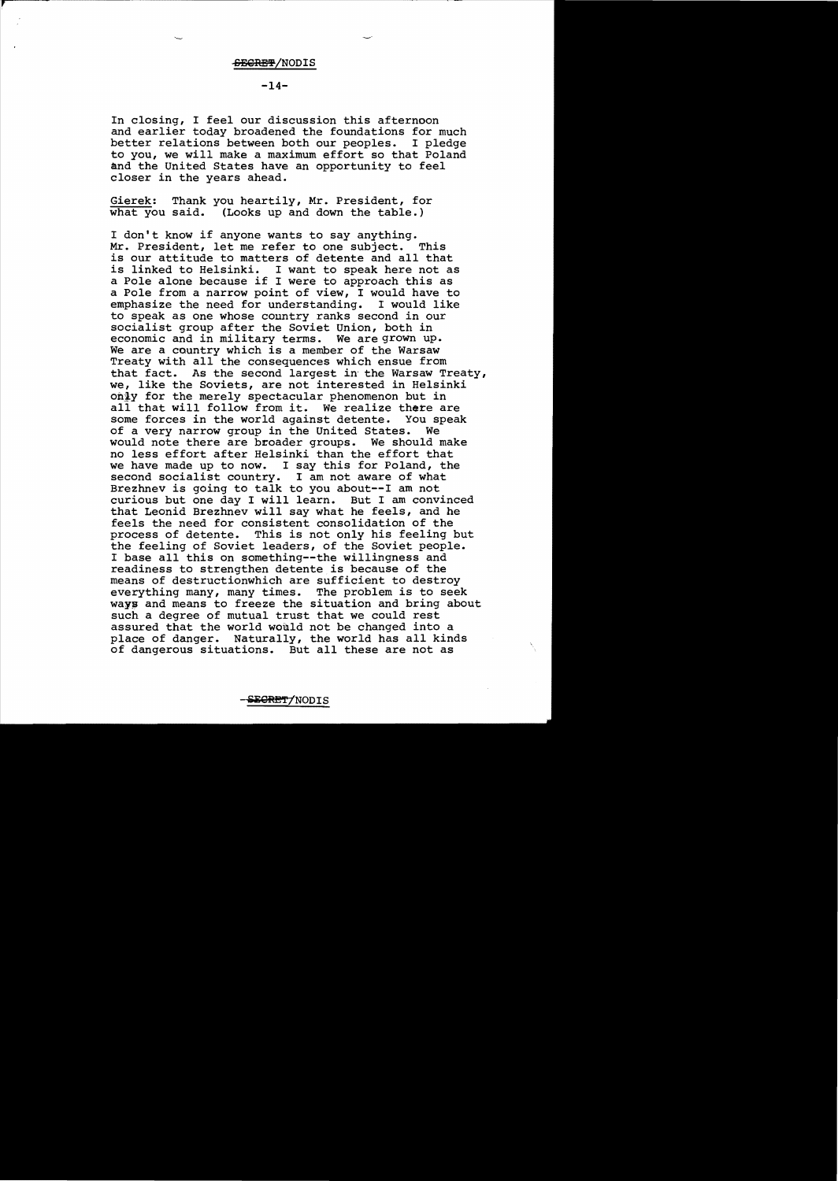## $-14-$

In closing, I feel our discussion this afternoon and earlier today broadened the foundations for much better relations between both our peoples. I pledge to you, we will make a maximum effort so that Poland and the United States have an opportunity to feel closer in the years ahead.

Gierek: Thank you heartily, Mr. President, for what you said. (Looks up and down the table.)

I don't know if anyone wants to say anything. Mr. President, let me refer to one subject. This is our attitude to matters of detente and all that is linked to Helsinki. I want to speak here not as a Pole alone because if I were to approach this as a Pole from a narrow point of view, I would have to emphasize the need for understanding. I would like emphasize the need for understanding. to speak as one whose country ranks second in our socialist group after the Soviet Union, both in economic and in military terms. We are grown up. We are a country which is a member of the Warsaw Treaty with all the consequences which ensue from that fact. As the second largest in' the Warsaw Treaty, we, like the Soviets, are not interested in Helsinki onjy for the merely spectacular phenomenon but in all that will follow from it. We realize there are some forces in the world against detente. You speak<br>of a verv narrow group in the United States. We of a very narrow group in the United States. would note there are broader groups. We should make no less effort after Helsinki than the effort that we have made up to now. I say this for poland, the second socialist country. I am not aware of what Brezhnev is going to talk to you about--I am not curious but one day I will learn. But I am convinced that Leonid Brezhnev will say what he feels, and he feels the need for consistent consolidation of the process of detente. This is not only his feeling but the feeling of Soviet leaders, of the Soviet people. I base all this on something--the willingness and readiness to strengthen detente is because of the means of destructionwhich are sufficient to destroy everything many, many times. The problem is to seek ways and means to freeze the situation and bring about such a degree of mutual trust that we could rest assured that the world would not be changed into a place of danger. Naturally, the world has all kinds of dangerous situations. But all these are not as